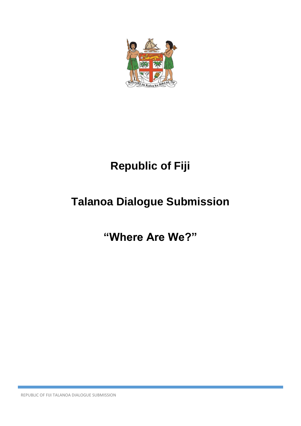

# **Republic of Fiji**

## **Talanoa Dialogue Submission**

### **"Where Are We?"**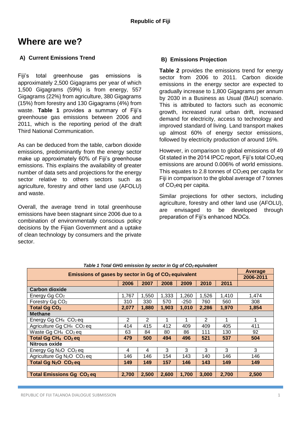### **Where are we?**

#### **A) Current Emissions Trend**

Fiji's total greenhouse gas emissions is approximately 2,500 Gigagrams per year of which 1,500 Gigagrams (59%) is from energy, 557 Gigagrams (22%) from agriculture, 380 Gigagrams (15%) from forestry and 130 Gigagrams (4%) from waste. **Table 1** provides a summary of Fiji's greenhouse gas emissions between 2006 and 2011, which is the reporting period of the draft Third National Communication.

As can be deduced from the table, carbon dioxide emissions, predominantly from the energy sector make up approximately 60% of Fiji's greenhouse emissions. This explains the availability of greater number of data sets and projections for the energy sector relative to others sectors such as agriculture, forestry and other land use (AFOLU) and waste.

Overall, the average trend in total greenhouse emissions have been stagnant since 2006 due to a combination of environmentally conscious policy decisions by the Fijian Government and a uptake of clean technology by consumers and the private sector.

#### **B) Emissions Projection**

**Table 2** provides the emissions trend for energy sector from 2006 to 2011. Carbon dioxide emissions in the energy sector are expected to gradually increase to 1,800 Gigagrams per annum by 2030 in a Business as Usual (BAU) scenario. This is attributed to factors such as economic growth, increased rural urban drift, increased demand for electricity, access to technology and improved standard of living. Land transport makes up almost 60% of energy sector emissions, followed by electricity production of around 16%.

However, in comparison to global emissions of 49 Gt stated in the 2014 IPCC report, Fiii's total  $CO<sub>2</sub>$ eq emissions are around 0.006% of world emissions. This equates to 2.8 tonnes of  $CO<sub>2</sub>$ eq per capita for Fiji in comparison to the global average of 7 tonnes of  $CO<sub>2</sub>$ eq per capita.

Similar projections for other sectors, including agriculture, forestry and other land use (AFOLU), are envisaged to be developed through preparation of Fiji's enhanced NDCs.

| Table T Tolar Grid emission by sector in Gg of CO <sub>2</sub> equivalent |       |       |       |        |       |       |       |  |  |  |  |  |  |
|---------------------------------------------------------------------------|-------|-------|-------|--------|-------|-------|-------|--|--|--|--|--|--|
| Emissions of gases by sector in Gg of CO <sub>2</sub> equivalent          |       |       |       |        |       |       |       |  |  |  |  |  |  |
|                                                                           |       |       |       |        |       |       |       |  |  |  |  |  |  |
|                                                                           | 2006  | 2007  | 2008  | 2009   | 2010  | 2011  |       |  |  |  |  |  |  |
| <b>Carbon dioxide</b>                                                     |       |       |       |        |       |       |       |  |  |  |  |  |  |
| Energy Gg CO <sub>2</sub>                                                 | 1,767 | 1,550 | 1,333 | 1,260  | 1,526 | 1,410 | 1,474 |  |  |  |  |  |  |
| Forestry Gg CO <sub>2</sub>                                               | 310   | 330   | 570   | $-250$ | 760   | 560   | 308   |  |  |  |  |  |  |
| <b>Total Gg CO<sub>2</sub></b>                                            | 2,077 | 1,880 | 1,903 | 1,010  | 2,286 | 1,970 | 1,854 |  |  |  |  |  |  |
| <b>Methane</b>                                                            |       |       |       |        |       |       |       |  |  |  |  |  |  |
| Energy Gg CH <sub>4</sub> $CO2$ eq                                        | 2     | 2     |       | 1      | 2     | 1     | 1     |  |  |  |  |  |  |
| Agriculture Gg CH <sub>4</sub> CO <sub>2</sub> eq                         | 414   | 415   | 412   | 409    | 409   | 405   | 411   |  |  |  |  |  |  |
| Waste Gg CH <sub>4</sub> CO <sub>2</sub> eq                               | 63    | 84    | 80    | 86     | 111   | 130   | 92    |  |  |  |  |  |  |
| Total Gg CH <sub>4</sub> CO <sub>2</sub> eq                               | 479   | 500   | 494   | 496    | 521   | 537   | 504   |  |  |  |  |  |  |
| <b>Nitrous oxide</b>                                                      |       |       |       |        |       |       |       |  |  |  |  |  |  |
| Energy Gg $N_2O$ $CO_2$ eq                                                | 4     | 4     | 3     | 3      | 3     | 3     | 3     |  |  |  |  |  |  |
| Agriculture Gg N <sub>2</sub> O CO <sub>2</sub> eq                        | 146   | 146   | 154   | 143    | 140   | 146   | 146   |  |  |  |  |  |  |
| Total Gg $N_2O$ $CO_2$ eq                                                 | 149   | 149   | 157   | 146    | 143   | 149   | 149   |  |  |  |  |  |  |
|                                                                           |       |       |       |        |       |       |       |  |  |  |  |  |  |
| <b>Total Emissions Gg CO<sub>2</sub> eq</b>                               | 2,700 | 2,500 | 2,600 | 1,700  | 3,000 | 2,700 | 2,500 |  |  |  |  |  |  |

#### *Table 1 Total GHG emission by sector in Gg of CO2 equivalent*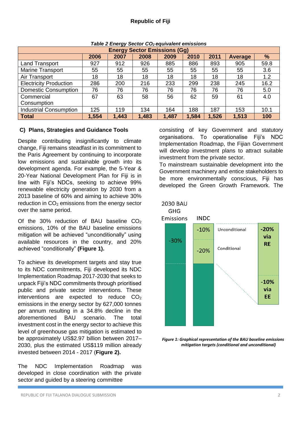| <b>Energy Sector Emissions (Gg)</b> |       |       |       |       |       |       |                |               |  |  |  |
|-------------------------------------|-------|-------|-------|-------|-------|-------|----------------|---------------|--|--|--|
|                                     | 2006  | 2007  | 2008  | 2009  | 2010  | 2011  | <b>Average</b> | $\frac{9}{6}$ |  |  |  |
| <b>Land Transport</b>               | 927   | 912   | 926   | 885   | 886   | 893   | 905            | 59.8          |  |  |  |
| <b>Marine Transport</b>             | 55    | 55    | 55    | 55    | 55    | 55    | 55             | 3.6           |  |  |  |
| Air Transport                       | 18    | 18    | 18    | 18    | 18    | 18    | 18             | 1.2           |  |  |  |
| <b>Electricity Production</b>       | 286   | 200   | 216   | 233   | 299   | 238   | 245            | 16.2          |  |  |  |
| <b>Domestic Consumption</b>         | 76    | 76    | 76    | 76    | 76    | 76    | 76             | 5.0           |  |  |  |
| Commercial                          | 67    | 63    | 58    | 56    | 62    | 59    | 61             | 4.0           |  |  |  |
| Consumption                         |       |       |       |       |       |       |                |               |  |  |  |
| <b>Industrial Consumption</b>       | 125   | 119   | 134   | 164   | 188   | 187   | 153            | 10.1          |  |  |  |
| <b>Total</b>                        | 1,554 | 1,443 | 1,483 | 1,487 | 1,584 | 1,526 | 1,513          | 100           |  |  |  |

#### *Table 2 Energy Sector CO2 equivalent emissions*

#### **C) Plans, Strategies and Guidance Tools**

Despite contributing insignificantly to climate change, Fiji remains steadfast in its commitment to the Paris Agreement by continuing to incorporate low emissions and sustainable growth into its development agenda. For example, the 5-Year & 20-Year National Development Plan for Fiji is in line with Fiji's NDCs, seeking to achieve 99% renewable electricity generation by 2030 from a 2013 baseline of 60% and aiming to achieve 30% reduction in  $CO<sub>2</sub>$  emissions from the energy sector over the same period.

Of the 30% reduction of BAU baseline  $CO<sub>2</sub>$ emissions, 10% of the BAU baseline emissions mitigation will be achieved "unconditionally" using available resources in the country, and 20% achieved "conditionally" **(Figure 1).**

To achieve its development targets and stay true to its NDC commitments, Fiji developed its NDC Implementation Roadmap 2017-2030 that seeks to unpack Fiji's NDC commitments through prioritised public and private sector interventions. These interventions are expected to reduce  $CO<sub>2</sub>$ emissions in the energy sector by 627,000 tonnes per annum resulting in a 34.8% decline in the aforementioned BAU scenario. The total investment cost in the energy sector to achieve this level of greenhouse gas mitigation is estimated to be approximately US\$2.97 billion between 2017– 2030, plus the estimated US\$119 million already invested between 2014 - 2017 (**Figure 2).**

The NDC Implementation Roadmap was developed in close coordination with the private sector and quided by a steering committee

consisting of key Government and statutory organisations. To operationalise Fiji's NDC Implementation Roadmap, the Fijian Government will develop investment plans to attract suitable investment from the private sector.

To mainstream sustainable development into the Government machinery and entice stakeholders to be more environmentally conscious, Fiji has developed the Green Growth Framework. The



*Figure 1: Graphical representation of the BAU baseline emissions mitigation targets (conditional and unconditional)*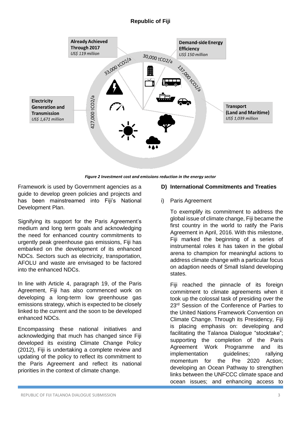

*Figure 2 Investment cost and emissions reduction in the energy sector*

Framework is used by Government agencies as a guide to develop green policies and projects and has been mainstreamed into Fiji's National Development Plan.

Signifying its support for the Paris Agreement's medium and long term goals and acknowledging the need for enhanced country commitments to urgently peak greenhouse gas emissions, Fiji has embarked on the development of its enhanced NDCs. Sectors such as electricity, transportation, AFOLU and waste are envisaged to be factored into the enhanced NDCs.

In line with Article 4, paragraph 19, of the Paris Agreement, Fiji has also commenced work on developing a long-term low greenhouse gas emissions strategy, which is expected to be closely linked to the current and the soon to be developed enhanced NDCs.

Encompassing these national initiatives and acknowledging that much has changed since Fiji developed its existing Climate Change Policy (2012), Fiji is undertaking a complete review and updating of the policy to reflect its commitment to the Paris Agreement and reflect its national priorities in the context of climate change.

#### **D) International Commitments and Treaties**

#### i) Paris Agreement

To exemplify its commitment to address the global issue of climate change, Fiji became the first country in the world to ratify the Paris Agreement in April, 2016. With this milestone, Fiji marked the beginning of a series of instrumental roles it has taken in the global arena to champion for meaningful actions to address climate change with a particular focus on adaption needs of Small Island developing states.

Fiji reached the pinnacle of its foreign commitment to climate agreements when it took up the colossal task of presiding over the 23<sup>rd</sup> Session of the Conference of Parties to the United Nations Framework Convention on Climate Change. Through its Presidency, Fiji is placing emphasis on: developing and facilitating the Talanoa Dialogue "stocktake"; supporting the completion of the Paris Agreement Work Programme and its implementation quidelines; rallying momentum for the Pre 2020 Action; developing an Ocean Pathway to strengthen links between the UNFCCC climate space and ocean issues; and enhancing access to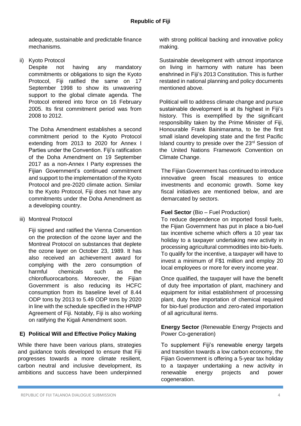adequate, sustainable and predictable finance mechanisms.

ii) Kyoto Protocol

Despite not having any mandatory commitments or obligations to sign the Kyoto Protocol, Fiji ratified the same on 17 September 1998 to show its unwavering support to the global climate agenda. The Protocol entered into force on 16 February 2005. Its first commitment period was from 2008 to 2012.

The Doha Amendment establishes a second commitment period to the Kyoto Protocol extending from 2013 to 2020 for Annex I Parties under the Convention. Fiji's ratification of the Doha Amendment on 19 September 2017 as a non-Annex I Party expresses the Fijian Government's continued commitment and support to the implementation of the Kyoto Protocol and pre-2020 climate action. Similar to the Kyoto Protocol, Fiji does not have any commitments under the Doha Amendment as a developing country.

iii) Montreal Protocol

Fiji signed and ratified the Vienna Convention on the protection of the ozone layer and the Montreal Protocol on substances that deplete the ozone layer on October 23, 1989. It has also received an achievement award for complying with the zero consumption of harmful chemicals such as the chlorofluorocarbons. Moreover, the Fijian Government is also reducing its HCFC consumption from its baseline level of 8.44 ODP tons by 2013 to 5.49 ODP tons by 2020 in line with the schedule specified in the HPMP Agreement of Fiji. Notably, Fiji is also working on ratifying the Kigali Amendment soon.

#### **E) Political Will and Effective Policy Making**

While there have been various plans, strategies and guidance tools developed to ensure that Fiji progresses towards a more climate resilient, carbon neutral and inclusive development, its ambitions and success have been underpinned with strong political backing and innovative policy making.

Sustainable development with utmost importance on living in harmony with nature has been enshrined in Fiji's 2013 Constitution. This is further restated in national planning and policy documents mentioned above.

Political will to address climate change and pursue sustainable development is at its highest in Fiji's history. This is exemplified by the significant responsibility taken by the Prime Minister of Fiji, Honourable Frank Bainimarama, to be the first small island developing state and the first Pacific Island country to preside over the 23rd Session of the United Nations Framework Convention on Climate Change.

The Fijian Government has continued to introduce innovative green fiscal measures to entice investments and economic growth. Some key fiscal initiatives are mentioned below, and are demarcated by sectors.

#### **Fuel Sector** (Bio – Fuel Production)

To reduce dependence on imported fossil fuels, the Fijian Government has put in place a bio-fuel tax incentive scheme which offers a 10 year tax holiday to a taxpayer undertaking new activity in processing agricultural commodities into bio-fuels. To qualify for the incentive, a taxpayer will have to invest a minimum of F\$1 million and employ 20 local employees or more for every income year.

Once qualified, the taxpayer will have the benefit of duty free importation of plant, machinery and equipment for initial establishment of processing plant, duty free importation of chemical required for bio-fuel production and zero-rated importation of all agricultural items.

**Energy Sector** (Renewable Energy Projects and Power Co-generation)

To supplement Fiji's renewable energy targets and transition towards a low carbon economy, the Fijian Government is offering a 5-year tax holiday to a taxpayer undertaking a new activity in renewable energy projects and power cogeneration.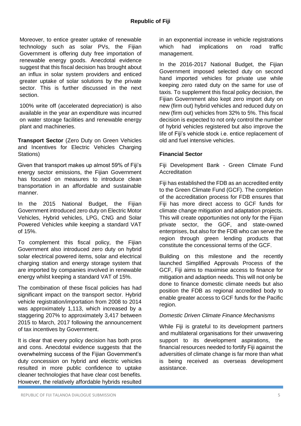Moreover, to entice greater uptake of renewable technology such as solar PVs, the Fijian Government is offering duty free importation of renewable energy goods. Anecdotal evidence suggest that this fiscal decision has brought about an influx in solar system providers and enticed greater uptake of solar solutions by the private sector. This is further discussed in the next section.

100% write off (accelerated depreciation) is also available in the year an expenditure was incurred on water storage facilities and renewable energy plant and machineries.

**Transport Sector** (Zero Duty on Green Vehicles and Incentives for Electric Vehicles Charging Stations)

Given that transport makes up almost 59% of Fiji's energy sector emissions, the Fijian Government has focused on measures to introduce clean transportation in an affordable and sustainable manner.

In the 2015 National Budget, the Fijian Government introduced zero duty on Electric Motor Vehicles, Hybrid vehicles, LPG, CNG and Solar Powered Vehicles while keeping a standard VAT of 15%.

To complement this fiscal policy, the Fijian Government also introduced zero duty on hybrid solar electrical powered items, solar and electrical charging station and energy storage system that are imported by companies involved in renewable energy whilst keeping a standard VAT of 15%.

The combination of these fiscal policies has had significant impact on the transport sector. Hybrid vehicle registration/importation from 2008 to 2014 was approximately 1,113, which increased by a staggering 207% to approximately 3,417 between 2015 to March, 2017 following the announcement of tax incentives by Government.

It is clear that every policy decision has both pros and cons. Anecdotal evidence suggests that the overwhelming success of the Fijian Government's duty concession on hybrid and electric vehicles resulted in more public confidence to uptake cleaner technologies that have clear cost benefits. However, the relatively affordable hybrids resulted

in an exponential increase in vehicle registrations which had implications on road traffic management.

In the 2016-2017 National Budget, the Fijian Government imposed selected duty on second hand imported vehicles for private use while keeping zero rated duty on the same for use of taxis. To supplement this fiscal policy decision, the Fijian Government also kept zero import duty on new (firm out) hybrid vehicles and reduced duty on new (firm out) vehicles from 32% to 5%. This fiscal decision is expected to not only control the number of hybrid vehicles registered but also improve the life of Fiji's vehicle stock i.e. entice replacement of old and fuel intensive vehicles.

#### **Financial Sector**

Fiji Development Bank - Green Climate Fund **Accreditation** 

Fiji has established the FDB as an accredited entity to the Green Climate Fund (GCF). The completion of the accreditation process for FDB ensures that Fiji has more direct access to GCF funds for climate change mitigation and adaptation projects. This will create opportunities not only for the Fijian private sector, the GOF, and state-owned enterprises, but also for the FDB who can serve the region through green lending products that constitute the concessional terms of the GCF.

Building on this milestone and the recently launched Simplified Approvals Process of the GCF, Fiji aims to maximise access to finance for mitigation and adaption needs. This will not only be done to finance domestic climate needs but also position the FDB as regional accredited body to enable greater access to GCF funds for the Pacific region.

#### *Domestic Driven Climate Finance Mechanisms*

While Fiji is grateful to its development partners and multilateral organisations for their unwavering support to its development aspirations, the financial resources needed to fortify Fiji against the adversities of climate change is far more than what is being received as overseas development assistance.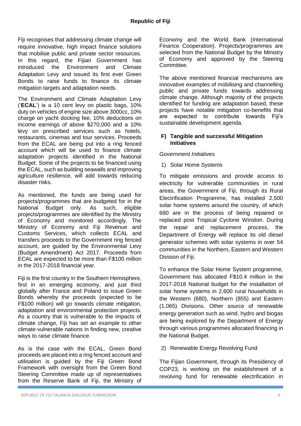Fiji recognises that addressing climate change will require innovative, high impact finance solutions that mobilise public and private sector resources. In this regard, the Fiijan Government has introduced the Environment and Climate Adaptation Levy and issued its first ever Green Bonds to raise funds to finance its climate mitigation targets and adaptation needs.

The Environment and Climate Adaptation Levy ('**ECAL**') is a 10 cent levy on plastic bags, 10% duty on vehicles of engine size above 3000cc, 10% charge on yacht docking fee, 10% deductions on income earnings of above \$270,000 and a 10% levy on prescribed services such as hotels, restaurants, cinemas and tour services. Proceeds from the ECAL are being put into a ring fenced account which will be used to finance climate adaptation projects identified in the National Budget. Some of the projects to be financed using the ECAL, such as building seawalls and improving agriculture resilience, will add towards reducing disaster risks.

As mentioned, the funds are being used for projects/programmes that are budgeted for in the National Budget only. As such, eligible projects/programmes are identified by the Ministry of Economy and monitored accordingly. The Ministry of Economy and Fiji Revenue and Customs Services, which collects ECAL and transfers proceeds to the Government ring fenced account, are guided by the Environmental Levy (Budget Amendment) Act 2017. Proceeds from ECAL are expected to be more than F\$100 million in the 2017-2018 financial year.

Fiji is the first country in the Southern Hemisphere. first in an emerging economy, and just third globally after France and Poland to issue Green Bonds whereby the proceeds (expected to be F\$100 million) will go towards climate mitigation, adaptation and environmental protection projects. As a country that is vulnerable to the impacts of climate change, Fiji has set an example to other climate-vulnerable nations in finding new, creative ways to raise climate finance.

As is the case with the ECAL, Green Bond proceeds are placed into a ring fenced account and utilisation is guided by the Fiji Green Bond Framework with oversight from the Green Bond Steering Committee made up of representatives from the Reserve Bank of Fiji, the Ministry of Economy and the World Bank (International Finance Cooperation). Projects/programmes are selected from the National Budget by the Ministry of Economy and approved by the Steering Committee.

The above mentioned financial mechanisms are innovative examples of mobilising and channelling public and private funds towards addressing climate change. Although majority of the projects identified for funding are adaptation based, these projects have notable mitigation co-benefits that are expected to contribute towards Fiji's sustainable development agenda.

#### **F) Tangible and successful Mitigation Initiatives**

#### *Government Initiatives*

1) Solar Home Systems

To mitigate emissions and provide access to electricity for vulnerable communities in rural areas, the Government of Fiji, through its Rural Electrification Programme, has installed 2,500 solar home systems around the country, of which 680 are in the process of being repaired or replaced post Tropical Cyclone Winston. During the repair and replacement process, the Department of Energy will replace its old diesel generator schemes with solar systems in over 54 communities in the Northern, Eastern and Western Division of Fiji.

To enhance the Solar Home System programme, Government has allocated F\$10.4 million in the 2017-2018 National budget for the installation of solar home systems in 2,600 rural households in the Western (680), Northern (855) and Eastern (1,065) Divisions. Other source of renewable energy generation such as wind, hydro and biogas are being explored by the Department of Energy through various programmes allocated financing in the National Budget.

#### 2) Renewable Energy Revolving Fund

The Fijian Government, through its Presidency of COP23, is working on the establishment of a revolving fund for renewable electrification in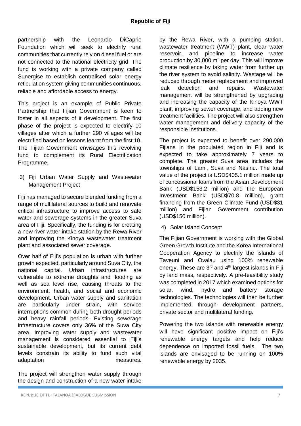partnership with the Leonardo DiCaprio Foundation which will seek to electrify rural communities that currently rely on diesel fuel or are not connected to the national electricity grid. The fund is working with a private company called Sunergise to establish centralised solar energy reticulation system giving communities continuous, reliable and affordable access to energy.

This project is an example of Public Private Partnership that Fijian Government is keen to foster in all aspects of it development. The first phase of the project is expected to electrify 10 villages after which a further 290 villages will be electrified based on lessons learnt from the first 10. The Fijian Government envisages this revolving fund to complement its Rural Electrification Programme.

3) Fiji Urban Water Supply and Wastewater Management Project

Fiji has managed to secure blended funding from a range of multilateral sources to build and renovate critical infrastructure to improve access to safe water and sewerage systems in the greater Suva area of Fiji. Specifically, the funding is for creating a new river water intake station by the Rewa River and improving the Kinoya wastewater treatment plant and associated sewer coverage.

Over half of Fiji's population is urban with further growth expected, particularly around Suva City, the national capital. Urban infrastructures are vulnerable to extreme droughts and flooding as well as sea level rise, causing threats to the environment, health, and social and economic development. Urban water supply and sanitation are particularly under strain, with service interruptions common during both drought periods and heavy rainfall periods. Existing sewerage infrastructure covers only 36% of the Suva City area. Improving water supply and wastewater management is considered essential to Fiji's sustainable development, but its current debt levels constrain its ability to fund such vital adaptation measures.

The project will strengthen water supply through the design and construction of a new water intake

by the Rewa River, with a pumping station, wastewater treatment (WWT) plant, clear water reservoir, and pipeline to increase water production by 30,000  $m^3$  per day. This will improve climate resilience by taking water from further up the river system to avoid salinity. Wastage will be reduced through meter replacement and improved leak detection and repairs. Wastewater management will be strengthened by upgrading and increasing the capacity of the Kinoya WWT plant, improving sewer coverage, and adding new treatment facilities. The project will also strengthen water management and delivery capacity of the responsible institutions.

The project is expected to benefit over 290,000 Fijians in the populated region in Fiji and is expected to take approximately 7 years to complete. The greater Suva area includes the townships of Lami, Suva and Nasinu. The total value of the project is USD\$405.1 million made up of concessional loans from the Asian Development Bank (USD\$153.2 million) and the European Investment Bank (USD\$70.8 million), grant financing from the Green Climate Fund (USD\$31 million) and Fijian Government contribution (USD\$150 million).

4) Solar Island Concept

The Fijian Government is working with the Global Green Growth Institute and the Korea International Cooperation Agency to electrify the islands of Taveuni and Ovalau using 100% renewable energy. These are  $3<sup>rd</sup>$  and  $4<sup>th</sup>$  largest islands in Fiji by land mass, respectively. A pre-feasibility study was completed in 2017 which examined options for solar, wind, hydro and battery storage technologies. The technologies will then be further implemented through development partners, private sector and multilateral funding.

Powering the two islands with renewable energy will have significant positive impact on Fiji's renewable energy targets and help reduce dependence on imported fossil fuels. The two islands are envisaged to be running on 100% renewable energy by 2035.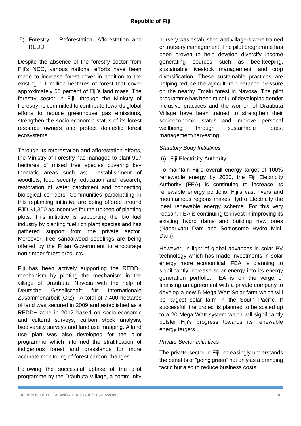5) Forestry – Reforestation, Afforestation and REDD+

Despite the absence of the forestry sector from Fiji's NDC, various national efforts have been made to increase forest cover in addition to the existing 1.1 million hectares of forest that cover approximately 56 percent of Fiji's land mass. The forestry sector in Fiji, through the Ministry of Forestry, is committed to contribute towards global efforts to reduce greenhouse gas emissions, strengthen the socio-economic status of its forest resource owners and protect domestic forest ecosystems.

Through its reforestation and afforestation efforts, the Ministry of Forestry has managed to plant 917 hectares of mixed tree species covering key thematic areas such as; establishment of woodlots, food security, education and research, restoration of water catchment and connecting biological corridors. Communities participating in this replanting initiative are being offered around FJD \$1,300 as incentive for the upkeep of planting plots. This initiative is supporting the bio fuel industry by planting fuel rich plant species and has gathered support from the private sector. Moreover, free sandalwood seedlings are being offered by the Fijian Government to encourage non-timber forest products.

Fiji has been actively supporting the REDD+ mechanism by piloting the mechanism in the village of Draubuta, Navosa with the help of Deutsche Gesellschaft für Internationale Zusammenarbeit (GIZ). A total of 7,400 hectares of land was secured in 2009 and established as a REDD+ zone in 2012 based on socio-economic and cultural surveys, carbon stock analysis, biodiversity surveys and land use mapping. A land use plan was also developed for the pilot programme which informed the stratification of indigenous forest and grasslands for more accurate monitoring of forest carbon changes.

Following the successful uptake of the pilot programme by the Draubuta Village, a community nursery was established and villagers were trained on nursery management. The pilot programme has been proven to help develop diversify income generating sources such as bee-keeping, sustainable livestock management, and crop diversification. These sustainable practices are helping reduce the agriculture clearance pressure on the nearby Emalu forest in Navosa. The pilot programme has been mindful of developing gender inclusive practices and the women of Draubuta Village have been trained to strengthen their socioeconomic status and improve personal wellbeing through sustainable forest management/harvesting.

#### *Statutory Body Initiatives*

#### 6) Fiji Electricity Authority

To maintain Fiji's overall energy target of 100% renewable energy by 2030, the Fiji Electricity Authority (FEA) is continuing to increase its renewable energy portfolio. Fiji's vast rivers and mountainous regions makes Hydro Electricity the ideal renewable energy scheme. For this very reason, FEA is continuing to invest in improving its existing hydro dams and building new ones (Nadarivatu Dam and Somosomo Hydro Mini-Dam).

However, in light of global advances in solar PV technology which has made investments in solar energy more economical, FEA is planning to significantly increase solar energy into its energy generation portfolio. FEA is on the verge of finalising an agreement with a private company to develop a new 5 Mega Watt Solar farm which will be largest solar farm in the South Pacific. If successful, the project is planned to be scaled up to a 20 Mega Watt system which will significantly bolster Fiji's progress towards its renewable energy targets.

#### *Private Sector Initiatives*

The private sector in Fiji increasingly understands the benefits of "going green" not only as a branding tactic but also to reduce business costs.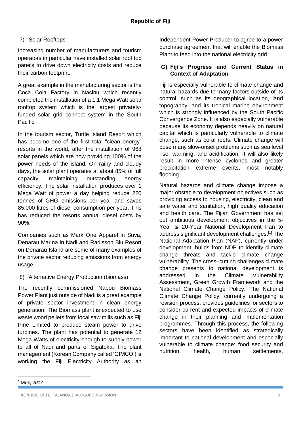#### 7) Solar Rooftops

Increasing number of manufacturers and tourism operators in particular have installed solar roof top panels to drive down electricity costs and reduce their carbon footprint.

A great example in the manufacturing sector is the Coca Cola Factory in Nasinu which recently completed the installation of a 1.1 Mega Watt solar rooftop system which is the largest privatelyfunded solar grid connect system in the South Pacific.

In the tourism sector, Turtle Island Resort which has become one of the first total "clean energy" resorts in the world, after the installation of 968 solar panels which are now providing 100% of the power needs of the island. On rainy and cloudy days, the solar plant operates at about 85% of full capacity, maintaining outstanding energy efficiency. The solar installation produces over 1 Mega Watt of power a day helping reduce 220 tonnes of GHG emissions per year and saves 85,000 litres of diesel consumption per year. This has reduced the resorts annual diesel costs by 90%.

Companies such as Mark One Apparel in Suva, Denarau Marina in Nadi and Radisson Blu Resort on Denarau Island are some of many examples of the private sector reducing emissions from energy usage.

#### 8) Alternative Energy Production (biomass)

The recently commissioned Nabou Biomass Power Plant just outside of Nadi is a great example of private sector investment in clean energy generation. The Biomass plant is expected to use waste wood pellets from local saw mills such as Fiji Pine Limited to produce steam power to drive turbines. The plant has potential to generate 12 Mega Watts of electricity enough to supply power to all of Nadi and parts of Sigatoka. The plant management (Korean Company called 'GIMCO') is working the Fiji Electricity Authority as an Independent Power Producer to agree to a power purchase agreement that will enable the Biomass Plant to feed into the national electricity grid.

#### **G) Fiji's Progress and Current Status in Context of Adaptation**

Fiji is especially vulnerable to climate change and natural hazards due to many factors outside of its control, such as its geographical location, land topography, and its tropical marine environment which is strongly influenced by the South Pacific Convergence Zone. It is also especially vulnerable because its economy depends heavily on natural capital which is particularly vulnerable to climate change, such as coral reefs. Climate change will pose many slow-onset problems such as sea level rise, warming, and acidification. It will also likely result in more intense cyclones and greater precipitation extreme events, most notably flooding.

Natural hazards and climate change impose a major obstacle to development objectives such as providing access to housing, electricity, clean and safe water and sanitation, high quality education and health care. The Fijian Government has set out ambitious development objectives in the 5- Year & 20-Year National Development Pan to address significant development challenges.<sup>[1]</sup> The National Adaptation Plan (NAP), currently under development, builds from NDP to identify climate change threats and tackle climate change vulnerability. The cross–cutting challenges climate change presents to national development is addressed in the Climate Vulnerability Assessment, Green Growth Framework and the National Climate Change Policy. The National Climate Change Policy, currently undergoing a revision process, provides guidelines for sectors to consider current and expected impacts of climate change in their planning and implementation programmes. Through this process, the following sectors have been identified as strategically important to national development and especially vulnerable to climate change: food security and nutrition, health, human settlements,

 $\overline{\phantom{a}}$ 

<sup>1</sup> MoE, *2017*

REPUBLIC OF FIJI TALANOA DIALOGUE SUBMISSION 9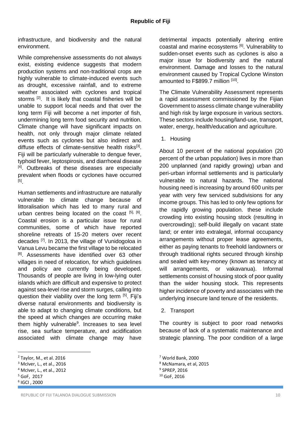infrastructure, and biodiversity and the natural environment.

While comprehensive assessments do not always exist, existing evidence suggests that modern production systems and non-traditional crops are highly vulnerable to climate-induced events such as drought, excessive rainfall, and to extreme weather associated with cyclones and tropical storms<sup>[2]</sup>. It is likely that coastal fisheries will be unable to support local needs and that over the long term Fiji will become a net importer of fish, undermining long term food security and nutrition. Climate change will have significant impacts on health, not only through major climate related events such as cyclones but also indirect and diffuse effects of climate-sensitive health risks<sup>[3]</sup>. Fiji will be particularly vulnerable to dengue fever, typhoid fever, leptospirosis, and diarrhoeal disease [4]. Outbreaks of these diseases are especially prevalent when floods or cyclones have occurred [5] .

Human settlements and infrastructure are naturally vulnerable to climate change because of littoralisation which has led to many rural and urban centres being located on the coast [5], [6]. Coastal erosion is a particular issue for rural communities, some of which have reported shoreline retreats of 15-20 meters over recent decades <a>[7]</a>. In 2013, the village of Vunidogoloa in Vanua Levu became the first village to be relocated <sup>[8]</sup>. Assessments have identified over 63 other villages in need of relocation, for which guidelines and policy are currently being developed. Thousands of people are living in low-lying outer islands which are difficult and expensive to protect against sea-level rise and storm surges, calling into question their viability over the long term [5]. Fiji's diverse natural environments and biodiversity is able to adapt to changing climate conditions, but the speed at which changes are occurring make them highly vulnerable<sup>9</sup>. Increases to sea level rise, sea surface temperature, and acidification associated with climate change may have

 $\overline{\phantom{a}}$ 

detrimental impacts potentially altering entire coastal and marine ecosystems [6]. Vulnerability to sudden-onset events such as cyclones is also a major issue for biodiversity and the natural environment. Damage and losses to the natural environment caused by Tropical Cyclone Winston amounted to F\$899.7 million [10].

The Climate Vulnerability Assessment represents a rapid assessment commissioned by the Fijian Government to assess climate change vulnerability and high risk by large exposure in various sectors. These sectors include housing/land-use, transport, water, energy, health/education and agriculture.

1. Housing

About 10 percent of the national population (20 percent of the urban population) lives in more than 200 unplanned (and rapidly growing) urban and peri-urban informal settlements and is particularly vulnerable to natural hazards. The national housing need is increasing by around 600 units per year with very few serviced subdivisions for any income groups. This has led to only few options for the rapidly growing population. these include crowding into existing housing stock (resulting in overcrowding); self-build illegally on vacant state land; or enter into extralegal, informal occupancy arrangements without proper lease agreements, either as paying tenants to freehold landowners or through traditional rights secured through kinship and sealed with key-money (known as tenancy at will arrangements, or vakavanua). Informal settlements consist of housing stock of poor quality than the wider housing stock. This represents higher incidence of poverty and associates with the underlying insecure land tenure of the residents.

2. Transport

The country is subject to poor road networks because of lack of a systematic maintenance and strategic planning. The poor condition of a large

<sup>2</sup> Taylor, M., et al. 2016

<sup>3</sup> McIver, L., et al., 2016

<sup>4</sup> McIver, L., et al., 2012

<sup>5</sup> GoF, 2017

<sup>6</sup> IGCI , 2000

<sup>7</sup> World Bank, 2000

<sup>8</sup> McNamara, et al, 2015

<sup>9</sup> SPREP, 2016

<sup>10</sup> GoF, 2016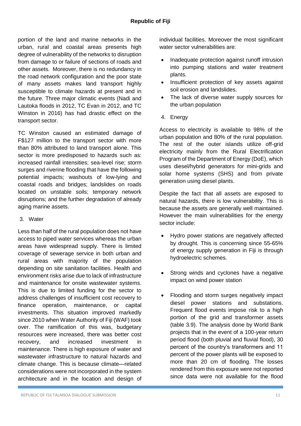portion of the land and marine networks in the urban, rural and coastal areas presents high degree of vulnerability of the networks to disruption from damage to or failure of sections of roads and other assets. Moreover, there is no redundancy in the road network configuration and the poor state of many assets makes land transport highly susceptible to climate hazards at present and in the future. Three major climatic events (Nadi and Lautoka floods in 2012, TC Evan in 2012, and TC Winston in 2016) has had drastic effect on the transport sector.

TC Winston caused an estimated damage of F\$127 million to the transport sector with more than 80% attributed to land transport alone. This sector is more predisposed to hazards such as: increased rainfall intensities; sea-level rise; storm surges and riverine flooding that have the following potential impacts; washouts of low-lying and coastal roads and bridges; landslides on roads located on unstable soils; temporary network disruptions; and the further degradation of already aging marine assets.

3. Water

Less than half of the rural population does not have access to piped water services whereas the urban areas have widespread supply. There is limited coverage of sewerage service in both urban and rural areas with majority of the population depending on site sanitation facilities. Health and environment risks arise due to lack of infrastructure and maintenance for onsite wastewater systems. This is due to limited funding for the sector to address challenges of insufficient cost recovery to finance operation, maintenance, or capital investments. This situation improved markedly since 2010 when Water Authority of Fiii (WAF) took over. The ramification of this was, budgetary resources were increased, there was better cost recovery, and increased investment in maintenance. There is high exposure of water and wastewater infrastructure to natural hazards and climate change. This is because climate—related considerations were not incorporated in the system architecture and in the location and design of

individual facilities. Moreover the most significant water sector vulnerabilities are:

- Inadequate protection against runoff intrusion into pumping stations and water treatment plants.
- Insufficient protection of key assets against soil erosion and landslides.
- The lack of diverse water supply sources for the urban population
- 4. Energy

Access to electricity is available to 98% of the urban population and 80% of the rural population. The rest of the outer islands utilize off-grid electricity mainly from the Rural Electrification Program of the Department of Energy (DoE), which uses diesel/hybrid generators for mini-grids and solar home systems (SHS) and from private generation using diesel plants.

Despite the fact that all assets are exposed to natural hazards, there is low vulnerability. This is because the assets are generally well maintained. However the main vulnerabilities for the energy sector include:

- Hydro power stations are negatively affected by drought. This is concerning since 55-65% of energy supply generation in Fiji is through hydroelectric schemes.
- Strong winds and cyclones have a negative impact on wind power station
- Flooding and storm surges negatively impact diesel power stations and substations. Frequent flood events impose risk to a high portion of the grid and transformer assets (table 3.9). The analysis done by World Bank projects that in the event of a 100-year return period flood (both pluvial and fluvial flood), 30 percent of the country's transformers and 11 percent of the power plants will be exposed to more than 20 cm of flooding. The losses rendered from this exposure were not reported since data were not available for the flood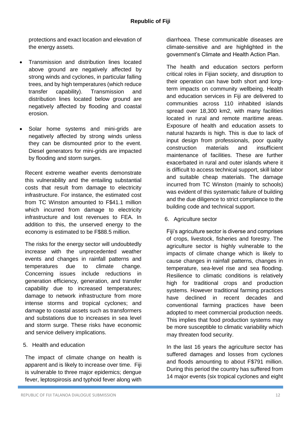protections and exact location and elevation of the energy assets.

- Transmission and distribution lines located above ground are negatively affected by strong winds and cyclones, in particular falling trees, and by high temperatures (which reduce transfer capability). Transmission and distribution lines located below ground are negatively affected by flooding and coastal erosion.
- Solar home systems and mini-grids are negatively affected by strong winds unless they can be dismounted prior to the event. Diesel generators for mini-grids are impacted by flooding and storm surges.

Recent extreme weather events demonstrate this vulnerability and the entailing substantial costs that result from damage to electricity infrastructure. For instance, the estimated cost from TC Winston amounted to F\$41.1 million which incurred from damage to electricity infrastructure and lost revenues to FEA. In addition to this, the unserved energy to the economy is estimated to be F\$88.5 million.

The risks for the energy sector will undoubtedly increase with the unprecedented weather events and changes in rainfall patterns and temperatures due to climate change. Concerning issues include reductions in generation efficiency, generation, and transfer capability due to increased temperatures; damage to network infrastructure from more intense storms and tropical cyclones; and damage to coastal assets such as transformers and substations due to increases in sea level and storm surge. These risks have economic and service delivery implications.

#### 5. Health and education

The impact of climate change on health is apparent and is likely to increase over time. Fiji is vulnerable to three major epidemics; dengue fever, leptospirosis and typhoid fever along with

diarrhoea. These communicable diseases are climate-sensitive and are highlighted in the government's Climate and Health Action Plan.

The health and education sectors perform critical roles in Fijian society, and disruption to their operation can have both short and longterm impacts on community wellbeing. Health and education services in Fiji are delivered to communities across 110 inhabited islands spread over 18,300 km2, with many facilities located in rural and remote maritime areas. Exposure of health and education assets to natural hazards is high. This is due to lack of input design from professionals, poor quality construction materials and insufficient maintenance of facilities. These are further exacerbated in rural and outer islands where it is difficult to access technical support, skill labor and suitable cheap materials. The damage incurred from TC Winston (mainly to schools) was evident of this systematic failure of building and the due diligence to strict compliance to the building code and technical support.

6. Agriculture sector

Fiji's agriculture sector is diverse and comprises of crops, livestock, fisheries and forestry. The agriculture sector is highly vulnerable to the impacts of climate change which is likely to cause changes in rainfall patterns, changes in temperature, sea-level rise and sea flooding. Resilience to climatic conditions is relatively high for traditional crops and production systems. However traditional farming practices have declined in recent decades and conventional farming practices have been adopted to meet commercial production needs. This implies that food production systems may be more susceptible to climatic variability which may threaten food security.

In the last 16 years the agriculture sector has suffered damages and losses from cyclones and floods amounting to about F\$791 million. During this period the country has suffered from 14 major events (six tropical cyclones and eight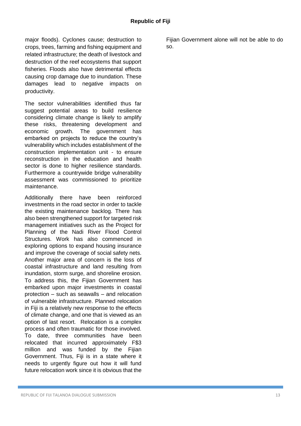major floods). Cyclones cause; destruction to crops, trees, farming and fishing equipment and related infrastructure; the death of livestock and destruction of the reef ecosystems that support fisheries. Floods also have detrimental effects causing crop damage due to inundation. These damages lead to negative impacts on productivity.

The sector vulnerabilities identified thus far suggest potential areas to build resilience considering climate change is likely to amplify these risks, threatening development and economic growth. The government has embarked on projects to reduce the country's vulnerability which includes establishment of the construction implementation unit - to ensure reconstruction in the education and health sector is done to higher resilience standards. Furthermore a countrywide bridge vulnerability assessment was commissioned to prioritize maintenance.

Additionally there have been reinforced investments in the road sector in order to tackle the existing maintenance backlog. There has also been strengthened support for targeted risk management initiatives such as the Project for Planning of the Nadi River Flood Control Structures. Work has also commenced in exploring options to expand housing insurance and improve the coverage of social safety nets. Another major area of concern is the loss of coastal infrastructure and land resulting from inundation, storm surge, and shoreline erosion. To address this, the Fijian Government has embarked upon major investments in coastal protection – such as seawalls – and relocation of vulnerable infrastructure. Planned relocation in Fiji is a relatively new response to the effects of climate change, and one that is viewed as an option of last resort. Relocation is a complex process and often traumatic for those involved. To date, three communities have been relocated that incurred approximately F\$3 million and was funded by the Fijian Government. Thus, Fiji is in a state where it needs to urgently figure out how it will fund future relocation work since it is obvious that the

Fijian Government alone will not be able to do so.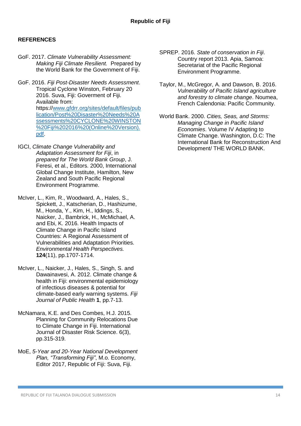#### **REFERENCES**

- GoF. 2017. *Climate Vulnerability Assessment: Making Fiji Climate Resilient.* Prepared by the World Bank for the Government of Fiji.
- GoF. 2016. *Fiji Post-Disaster Needs Assessment*. Tropical Cyclone Winston, February 20 2016. Suva, Fiji: Goverment of Fiji. Available from: https:/[/www.gfdrr.org/sites/default/files/pub](http://www.gfdrr.org/sites/default/files/publication/Post%20Disaster%20Needs%20Assessments%20CYCLONE%20WINSTON%20Fiji%202016%20(Online%20Version).pdf) [lication/Post%20Disaster%20Needs%20A](http://www.gfdrr.org/sites/default/files/publication/Post%20Disaster%20Needs%20Assessments%20CYCLONE%20WINSTON%20Fiji%202016%20(Online%20Version).pdf) [ssessments%20CYCLONE%20WINSTON](http://www.gfdrr.org/sites/default/files/publication/Post%20Disaster%20Needs%20Assessments%20CYCLONE%20WINSTON%20Fiji%202016%20(Online%20Version).pdf) [%20Fiji%202016%20\(Online%20Version\).](http://www.gfdrr.org/sites/default/files/publication/Post%20Disaster%20Needs%20Assessments%20CYCLONE%20WINSTON%20Fiji%202016%20(Online%20Version).pdf) [pdf.](http://www.gfdrr.org/sites/default/files/publication/Post%20Disaster%20Needs%20Assessments%20CYCLONE%20WINSTON%20Fiji%202016%20(Online%20Version).pdf)
- IGCI, *Climate Change Vulnerability and Adaptation Assessment for Fiji*, in *prepared for The World Bank Group*, J. Feresi, et al., Editors. 2000, International Global Change Institute, Hamilton, New Zealand and South Pacific Regional Environment Programme.
- McIver, L., Kim, R., Woodward, A., Hales, S., Spickett, J., Katscherian, D., Hashizume, M., Honda, Y., Kim, H., Iddings, S., Naicker, J., Bambrick, H., McMichael, A. and Ebi, K. 2016. Health Impacts of Climate Change in Pacific Island Countries: A Regional Assessment of Vulnerabilities and Adaptation Priorities. *Environmental Health Perspectives.* **124**(11), pp.1707-1714.
- McIver, L., Naicker, J., Hales, S., Singh, S. and Dawainavesi, A. 2012. Climate change & health in Fiii: environmental epidemiology of infectious diseases & potential for climate-based early warning systems. *Fiji Journal of Public Health* **1**, pp.7-13.
- McNamara, K.E. and Des Combes, H.J. 2015. Planning for Community Relocations Due to Climate Change in Fiji. International Journal of Disaster Risk Science. 6(3), pp.315-319.
- MoE, *5-Year and 20-Year National Development Plan, "Transforming Fiji"*, M.o. Economy, Editor 2017, Republic of Fiji: Suva, Fiji.
- SPREP. 2016. *State of conservation in Fiji*. Country report 2013. Apia, Samoa: Secretariat of the Pacific Regional Environment Programme.
- Taylor, M., McGregor, A. and Dawson, B. 2016. *Vulnerability of Pacific Island agriculture and forestry to climate change*. Noumea, French Calendonia: Pacific Community.
- World Bank. 2000. *Cities, Seas, and Storms: Managing Change in Pacific Island Economies*. Volume IV Adapting to Climate Change. Washington, D.C: The International Bank for Reconstruction And Development/ THE WORLD BANK.